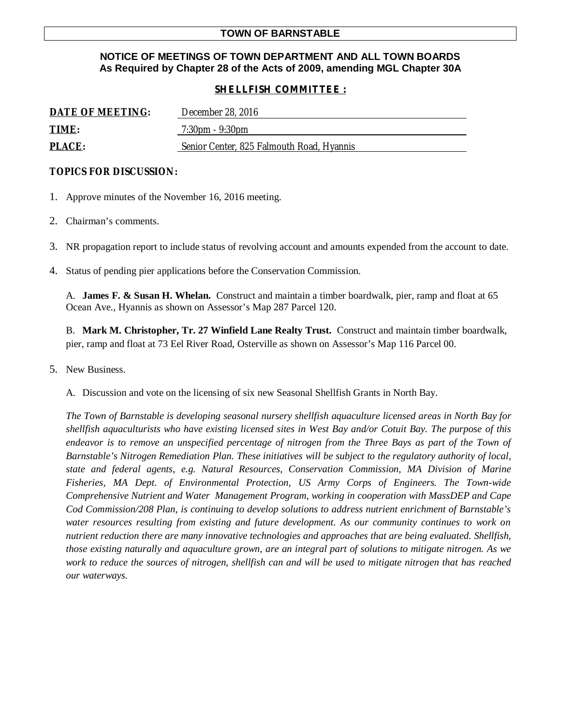### **TOWN OF BARNSTABLE**

# **NOTICE OF MEETINGS OF TOWN DEPARTMENT AND ALL TOWN BOARDS As Required by Chapter 28 of the Acts of 2009, amending MGL Chapter 30A**

# *SHELLFISH COMMITTEE :*

| DATE OF MEETING: | December 28, 2016                         |
|------------------|-------------------------------------------|
| TIME:            | $7:30 \text{pm} - 9:30 \text{pm}$         |
| <b>PLACE:</b>    | Senior Center, 825 Falmouth Road, Hyannis |

### **TOPICS FOR DISCUSSION:**

- 1. Approve minutes of the November 16, 2016 meeting.
- 2. Chairman's comments.
- 3. NR propagation report to include status of revolving account and amounts expended from the account to date.
- 4. Status of pending pier applications before the Conservation Commission.

A. **James F. & Susan H. Whelan.** Construct and maintain a timber boardwalk, pier, ramp and float at 65 Ocean Ave., Hyannis as shown on Assessor's Map 287 Parcel 120.

B. **Mark M. Christopher, Tr. 27 Winfield Lane Realty Trust.** Construct and maintain timber boardwalk, pier, ramp and float at 73 Eel River Road, Osterville as shown on Assessor's Map 116 Parcel 00.

5. New Business.

A. Discussion and vote on the licensing of six new Seasonal Shellfish Grants in North Bay.

*The Town of Barnstable is developing seasonal nursery shellfish aquaculture licensed areas in North Bay for shellfish aquaculturists who have existing licensed sites in West Bay and/or Cotuit Bay. The purpose of this*  endeavor is to remove an unspecified percentage of nitrogen from the Three Bays as part of the Town of *Barnstable's Nitrogen Remediation Plan. These initiatives will be subject to the regulatory authority of local, state and federal agents, e.g. Natural Resources, Conservation Commission, MA Division of Marine Fisheries, MA Dept. of Environmental Protection, US Army Corps of Engineers. The Town-wide Comprehensive Nutrient and Water Management Program, working in cooperation with MassDEP and Cape Cod Commission/208 Plan, is continuing to develop solutions to address nutrient enrichment of Barnstable's water resources resulting from existing and future development. As our community continues to work on nutrient reduction there are many innovative technologies and approaches that are being evaluated. Shellfish, those existing naturally and aquaculture grown, are an integral part of solutions to mitigate nitrogen. As we work to reduce the sources of nitrogen, shellfish can and will be used to mitigate nitrogen that has reached our waterways.*